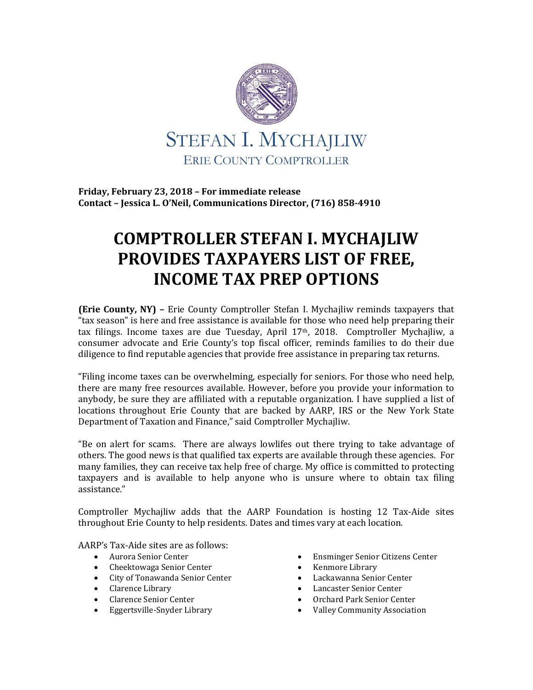

**Friday, February 23, 2018 – For immediate release Contact – Jessica L. O'Neil, Communications Director, (716) 858-4910**

## **COMPTROLLER STEFAN I. MYCHAJLIW PROVIDES TAXPAYERS LIST OF FREE, INCOME TAX PREP OPTIONS**

**(Erie County, NY) –** Erie County Comptroller Stefan I. Mychajliw reminds taxpayers that "tax season" is here and free assistance is available for those who need help preparing their tax filings. Income taxes are due Tuesday, April 17th, 2018. Comptroller Mychajliw, a consumer advocate and Erie County's top fiscal officer, reminds families to do their due diligence to find reputable agencies that provide free assistance in preparing tax returns.

"Filing income taxes can be overwhelming, especially for seniors. For those who need help, there are many free resources available. However, before you provide your information to anybody, be sure they are affiliated with a reputable organization. I have supplied a list of locations throughout Erie County that are backed by AARP, IRS or the New York State Department of Taxation and Finance," said Comptroller Mychajliw.

"Be on alert for scams. There are always lowlifes out there trying to take advantage of others. The good news is that qualified tax experts are available through these agencies. For many families, they can receive tax help free of charge. My office is committed to protecting taxpayers and is available to help anyone who is unsure where to obtain tax filing assistance."

Comptroller Mychajliw adds that the AARP Foundation is hosting 12 Tax-Aide sites throughout Erie County to help residents. Dates and times vary at each location.

AARP's Tax-Aide sites are as follows:

- Aurora Senior Center
- Cheektowaga Senior Center
- City of Tonawanda Senior Center
- Clarence Library
- Clarence Senior Center
- Eggertsville-Snyder Library
- Ensminger Senior Citizens Center
- Kenmore Library
- Lackawanna Senior Center
- Lancaster Senior Center
- Orchard Park Senior Center
- Valley Community Association